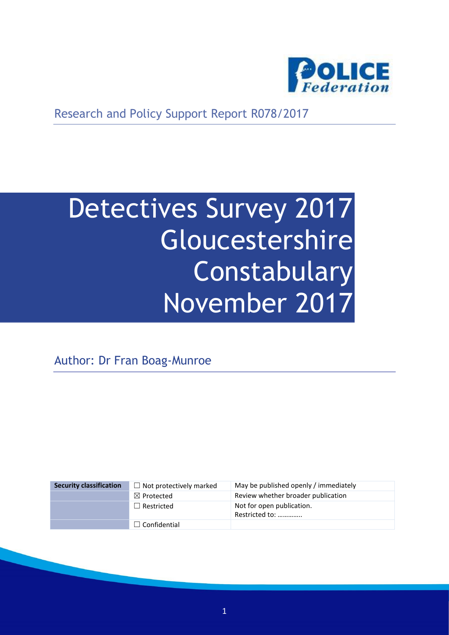

Research and Policy Support Report R078/2017

# Detectives Survey 2017 **Gloucestershire Constabulary** November 2017

Author: Dr Fran Boag-Munroe

| <b>Security classification</b> | $\Box$ Not protectively marked | May be published openly / immediately       |
|--------------------------------|--------------------------------|---------------------------------------------|
|                                | $\boxtimes$ Protected          | Review whether broader publication          |
|                                | $\Box$ Restricted              | Not for open publication.<br>Restricted to: |
|                                | $\Box$ Confidential            |                                             |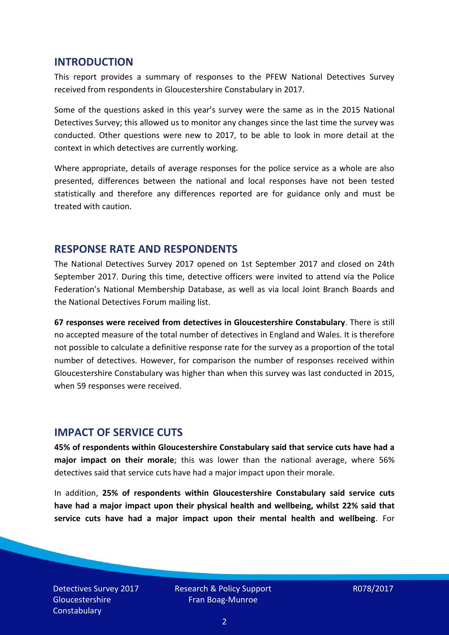#### **INTRODUCTION**

This report provides a summary of responses to the PFEW National Detectives Survey received from respondents in Gloucestershire Constabulary in 2017.

Some of the questions asked in this year's survey were the same as in the 2015 National Detectives Survey; this allowed us to monitor any changes since the last time the survey was conducted. Other questions were new to 2017, to be able to look in more detail at the context in which detectives are currently working.

Where appropriate, details of average responses for the police service as a whole are also presented, differences between the national and local responses have not been tested statistically and therefore any differences reported are for guidance only and must be treated with caution.

#### **RESPONSE RATE AND RESPONDENTS**

The National Detectives Survey 2017 opened on 1st September 2017 and closed on 24th September 2017. During this time, detective officers were invited to attend via the Police Federation's National Membership Database, as well as via local Joint Branch Boards and the National Detectives Forum mailing list.

**67 responses were received from detectives in Gloucestershire Constabulary**. There is still no accepted measure of the total number of detectives in England and Wales. It is therefore not possible to calculate a definitive response rate for the survey as a proportion of the total number of detectives. However, for comparison the number of responses received within Gloucestershire Constabulary was higher than when this survey was last conducted in 2015, when 59 responses were received.

## **IMPACT OF SERVICE CUTS**

**45% of respondents within Gloucestershire Constabulary said that service cuts have had a major impact on their morale**; this was lower than the national average, where 56% detectives said that service cuts have had a major impact upon their morale.

In addition, **25% of respondents within Gloucestershire Constabulary said service cuts have had a major impact upon their physical health and wellbeing, whilst 22% said that service cuts have had a major impact upon their mental health and wellbeing**. For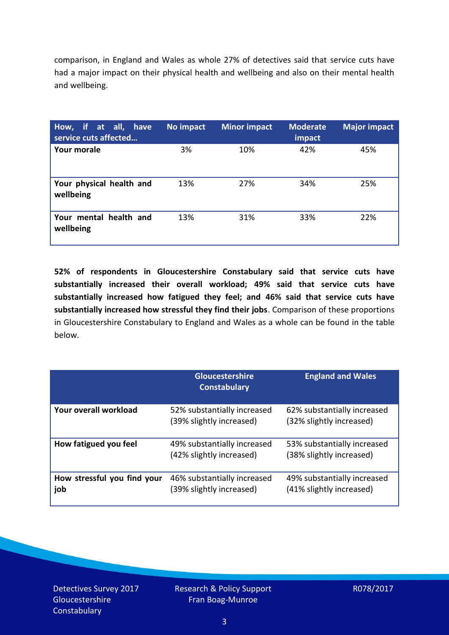comparison, in England and Wales as whole 27% of detectives said that service cuts have had a major impact on their physical health and wellbeing and also on their mental health and wellbeing.

| How, if at all, have<br>service cuts affected | No impact | <b>Minor impact</b> | <b>Moderate</b><br>impact | <b>Major impact</b> |
|-----------------------------------------------|-----------|---------------------|---------------------------|---------------------|
| Your morale                                   | 3%        | 10%                 | 42%                       | 45%                 |
| Your physical health and<br>wellbeing         | 13%       | 27%                 | 34%                       | 25%                 |
| Your mental health and<br>wellbeing           | 13%       | 31%                 | 33%                       | 22%                 |

**52% of respondents in Gloucestershire Constabulary said that service cuts have substantially increased their overall workload; 49% said that service cuts have substantially increased how fatigued they feel; and 46% said that service cuts have substantially increased how stressful they find their jobs**. Comparison of these proportions in Gloucestershire Constabulary to England and Wales as a whole can be found in the table below.

|                                    | <b>Gloucestershire</b><br><b>Constabulary</b>           | <b>England and Wales</b>                                |
|------------------------------------|---------------------------------------------------------|---------------------------------------------------------|
| Your overall workload              | 52% substantially increased<br>(39% slightly increased) | 62% substantially increased<br>(32% slightly increased) |
| How fatigued you feel              | 49% substantially increased<br>(42% slightly increased) | 53% substantially increased<br>(38% slightly increased) |
| How stressful you find your<br>job | 46% substantially increased<br>(39% slightly increased) | 49% substantially increased<br>(41% slightly increased) |

Detectives Survey 2017 **Gloucestershire Constabulary**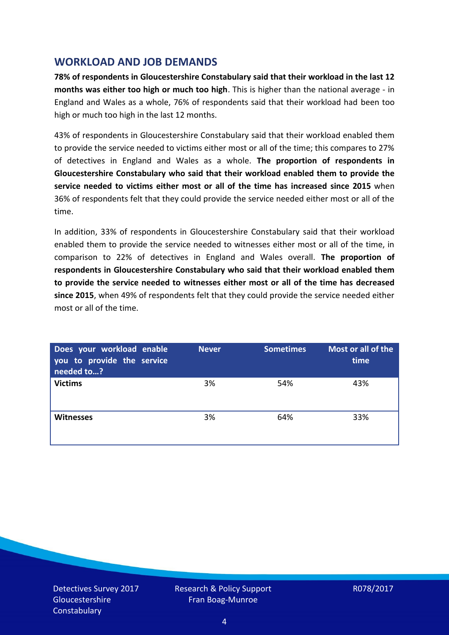## **WORKLOAD AND JOB DEMANDS**

**78% of respondents in Gloucestershire Constabulary said that their workload in the last 12 months was either too high or much too high**. This is higher than the national average - in England and Wales as a whole, 76% of respondents said that their workload had been too high or much too high in the last 12 months.

43% of respondents in Gloucestershire Constabulary said that their workload enabled them to provide the service needed to victims either most or all of the time; this compares to 27% of detectives in England and Wales as a whole. **The proportion of respondents in Gloucestershire Constabulary who said that their workload enabled them to provide the service needed to victims either most or all of the time has increased since 2015** when 36% of respondents felt that they could provide the service needed either most or all of the time.

In addition, 33% of respondents in Gloucestershire Constabulary said that their workload enabled them to provide the service needed to witnesses either most or all of the time, in comparison to 22% of detectives in England and Wales overall. **The proportion of respondents in Gloucestershire Constabulary who said that their workload enabled them to provide the service needed to witnesses either most or all of the time has decreased since 2015**, when 49% of respondents felt that they could provide the service needed either most or all of the time.

| Does your workload enable<br>you to provide the service<br>needed to? | <b>Never</b> | <b>Sometimes</b> | Most or all of the<br>time |
|-----------------------------------------------------------------------|--------------|------------------|----------------------------|
| <b>Victims</b>                                                        | 3%           | 54%              | 43%                        |
| <b>Witnesses</b>                                                      | 3%           | 64%              | 33%                        |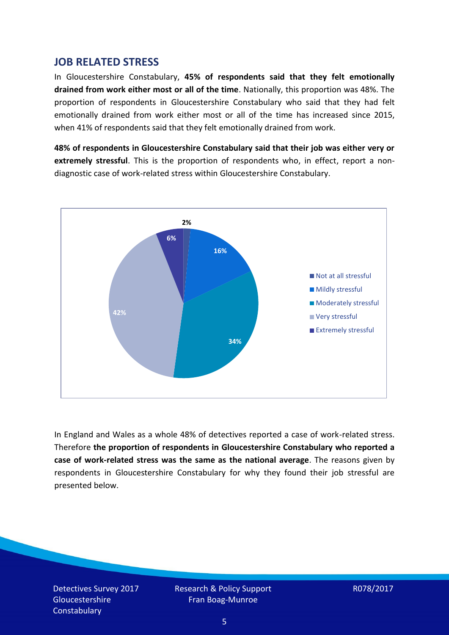### **JOB RELATED STRESS**

In Gloucestershire Constabulary, **45% of respondents said that they felt emotionally drained from work either most or all of the time**. Nationally, this proportion was 48%. The proportion of respondents in Gloucestershire Constabulary who said that they had felt emotionally drained from work either most or all of the time has increased since 2015, when 41% of respondents said that they felt emotionally drained from work.

**48% of respondents in Gloucestershire Constabulary said that their job was either very or extremely stressful**. This is the proportion of respondents who, in effect, report a nondiagnostic case of work-related stress within Gloucestershire Constabulary.



In England and Wales as a whole 48% of detectives reported a case of work-related stress. Therefore **the proportion of respondents in Gloucestershire Constabulary who reported a case of work-related stress was the same as the national average**. The reasons given by respondents in Gloucestershire Constabulary for why they found their job stressful are presented below.

Detectives Survey 2017 **Gloucestershire Constabulary**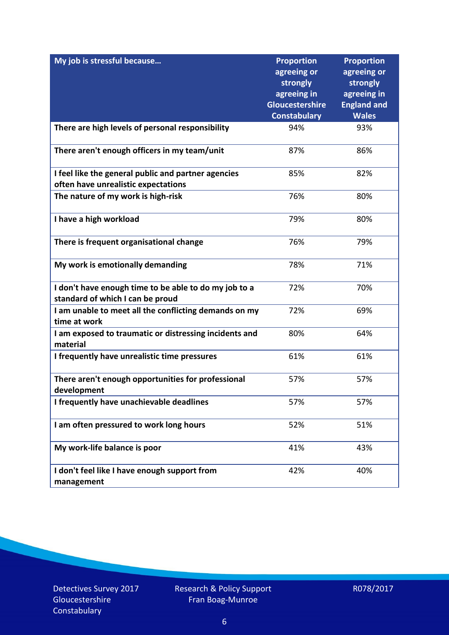| My job is stressful because                                           | <b>Proportion</b>       | <b>Proportion</b>       |
|-----------------------------------------------------------------------|-------------------------|-------------------------|
|                                                                       | agreeing or<br>strongly | agreeing or<br>strongly |
|                                                                       | agreeing in             | agreeing in             |
|                                                                       | Gloucestershire         | <b>England and</b>      |
|                                                                       | <b>Constabulary</b>     | <b>Wales</b>            |
| There are high levels of personal responsibility                      | 94%                     | 93%                     |
| There aren't enough officers in my team/unit                          | 87%                     | 86%                     |
| I feel like the general public and partner agencies                   | 85%                     | 82%                     |
| often have unrealistic expectations                                   |                         |                         |
| The nature of my work is high-risk                                    | 76%                     | 80%                     |
| I have a high workload                                                | 79%                     | 80%                     |
| There is frequent organisational change                               | 76%                     | 79%                     |
| My work is emotionally demanding                                      | 78%                     | 71%                     |
| I don't have enough time to be able to do my job to a                 | 72%                     | 70%                     |
| standard of which I can be proud                                      |                         |                         |
| I am unable to meet all the conflicting demands on my<br>time at work | 72%                     | 69%                     |
| I am exposed to traumatic or distressing incidents and<br>material    | 80%                     | 64%                     |
| I frequently have unrealistic time pressures                          | 61%                     | 61%                     |
| There aren't enough opportunities for professional<br>development     | 57%                     | 57%                     |
| I frequently have unachievable deadlines                              | 57%                     | 57%                     |
| I am often pressured to work long hours                               | 52%                     | 51%                     |
| My work-life balance is poor                                          | 41%                     | 43%                     |
| I don't feel like I have enough support from<br>management            | 42%                     | 40%                     |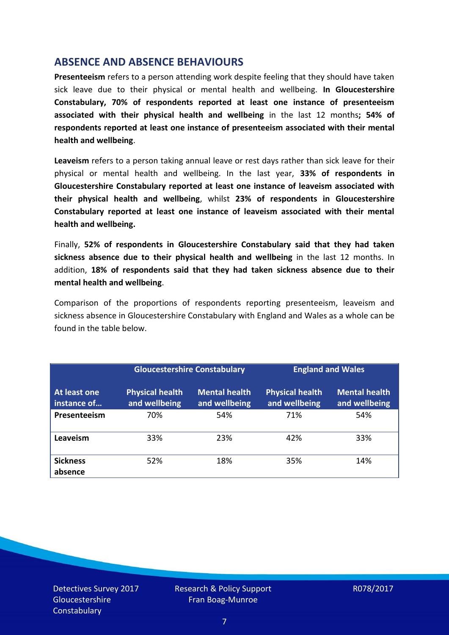## **ABSENCE AND ABSENCE BEHAVIOURS**

**Presenteeism** refers to a person attending work despite feeling that they should have taken sick leave due to their physical or mental health and wellbeing. **In Gloucestershire Constabulary, 70% of respondents reported at least one instance of presenteeism associated with their physical health and wellbeing** in the last 12 months**; 54% of respondents reported at least one instance of presenteeism associated with their mental health and wellbeing**.

**Leaveism** refers to a person taking annual leave or rest days rather than sick leave for their physical or mental health and wellbeing. In the last year, **33% of respondents in Gloucestershire Constabulary reported at least one instance of leaveism associated with their physical health and wellbeing**, whilst **23% of respondents in Gloucestershire Constabulary reported at least one instance of leaveism associated with their mental health and wellbeing.**

Finally, **52% of respondents in Gloucestershire Constabulary said that they had taken sickness absence due to their physical health and wellbeing** in the last 12 months. In addition, **18% of respondents said that they had taken sickness absence due to their mental health and wellbeing**.

Comparison of the proportions of respondents reporting presenteeism, leaveism and sickness absence in Gloucestershire Constabulary with England and Wales as a whole can be found in the table below.

|                             | <b>Gloucestershire Constabulary</b>     |                                       | <b>England and Wales</b>                |                                       |
|-----------------------------|-----------------------------------------|---------------------------------------|-----------------------------------------|---------------------------------------|
| At least one<br>instance of | <b>Physical health</b><br>and wellbeing | <b>Mental health</b><br>and wellbeing | <b>Physical health</b><br>and wellbeing | <b>Mental health</b><br>and wellbeing |
| Presenteeism                | 70%                                     | 54%                                   | 71%                                     | 54%                                   |
| Leaveism                    | 33%                                     | 23%                                   | 42%                                     | 33%                                   |
| <b>Sickness</b><br>absence  | 52%                                     | 18%                                   | 35%                                     | 14%                                   |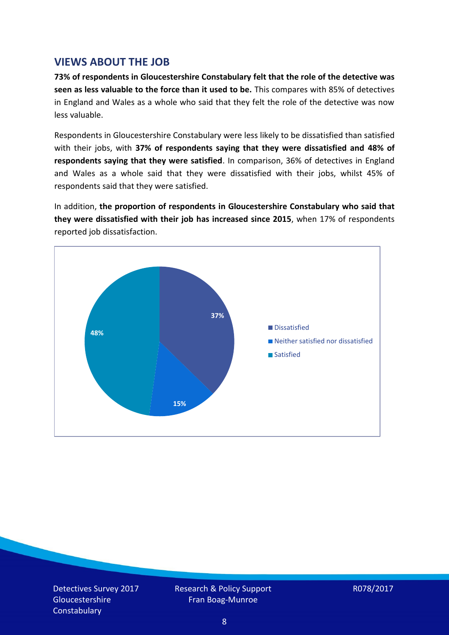## **VIEWS ABOUT THE JOB**

**73% of respondents in Gloucestershire Constabulary felt that the role of the detective was seen as less valuable to the force than it used to be.** This compares with 85% of detectives in England and Wales as a whole who said that they felt the role of the detective was now less valuable.

Respondents in Gloucestershire Constabulary were less likely to be dissatisfied than satisfied with their jobs, with **37% of respondents saying that they were dissatisfied and 48% of respondents saying that they were satisfied**. In comparison, 36% of detectives in England and Wales as a whole said that they were dissatisfied with their jobs, whilst 45% of respondents said that they were satisfied.

In addition, **the proportion of respondents in Gloucestershire Constabulary who said that they were dissatisfied with their job has increased since 2015**, when 17% of respondents reported job dissatisfaction.



Detectives Survey 2017 **Gloucestershire Constabulary** 

Research & Policy Support Fran Boag-Munroe

R078/2017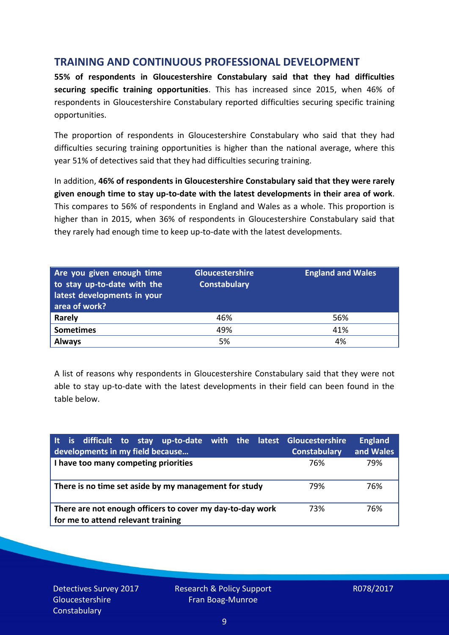## **TRAINING AND CONTINUOUS PROFESSIONAL DEVELOPMENT**

**55% of respondents in Gloucestershire Constabulary said that they had difficulties securing specific training opportunities**. This has increased since 2015, when 46% of respondents in Gloucestershire Constabulary reported difficulties securing specific training opportunities.

The proportion of respondents in Gloucestershire Constabulary who said that they had difficulties securing training opportunities is higher than the national average, where this year 51% of detectives said that they had difficulties securing training.

In addition, **46% of respondents in Gloucestershire Constabulary said that they were rarely given enough time to stay up-to-date with the latest developments in their area of work**. This compares to 56% of respondents in England and Wales as a whole. This proportion is higher than in 2015, when 36% of respondents in Gloucestershire Constabulary said that they rarely had enough time to keep up-to-date with the latest developments.

| Are you given enough time<br>to stay up-to-date with the<br>latest developments in your<br>area of work? | Gloucestershire<br><b>Constabulary</b> | <b>England and Wales</b> |
|----------------------------------------------------------------------------------------------------------|----------------------------------------|--------------------------|
| <b>Rarely</b>                                                                                            | 46%                                    | 56%                      |
| <b>Sometimes</b>                                                                                         | 49%                                    | 41%                      |
| <b>Always</b>                                                                                            | 5%                                     | 4%                       |

A list of reasons why respondents in Gloucestershire Constabulary said that they were not able to stay up-to-date with the latest developments in their field can been found in the table below.

| It is difficult to stay up-to-date with the latest Gloucestershire<br>developments in my field because | <b>Constabulary</b> | <b>England</b><br>and Wales |
|--------------------------------------------------------------------------------------------------------|---------------------|-----------------------------|
| I have too many competing priorities                                                                   | 76%                 | 79%                         |
| There is no time set aside by my management for study                                                  | 79%                 | 76%                         |
| There are not enough officers to cover my day-to-day work<br>for me to attend relevant training        | 73%                 | 76%                         |

Detectives Survey 2017 **Gloucestershire Constabulary**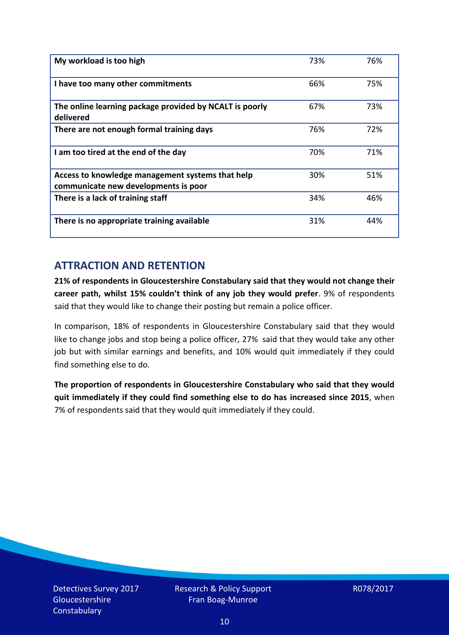| My workload is too high                                                                  | 73% | 76% |
|------------------------------------------------------------------------------------------|-----|-----|
| I have too many other commitments                                                        | 66% | 75% |
| The online learning package provided by NCALT is poorly<br>delivered                     | 67% | 73% |
| There are not enough formal training days                                                | 76% | 72% |
| I am too tired at the end of the day                                                     | 70% | 71% |
| Access to knowledge management systems that help<br>communicate new developments is poor | 30% | 51% |
| There is a lack of training staff                                                        | 34% | 46% |
| There is no appropriate training available                                               | 31% | 44% |

# **ATTRACTION AND RETENTION**

**21% of respondents in Gloucestershire Constabulary said that they would not change their career path, whilst 15% couldn't think of any job they would prefer**. 9% of respondents said that they would like to change their posting but remain a police officer.

In comparison, 18% of respondents in Gloucestershire Constabulary said that they would like to change jobs and stop being a police officer, 27% said that they would take any other job but with similar earnings and benefits, and 10% would quit immediately if they could find something else to do.

**The proportion of respondents in Gloucestershire Constabulary who said that they would quit immediately if they could find something else to do has increased since 2015**, when 7% of respondents said that they would quit immediately if they could.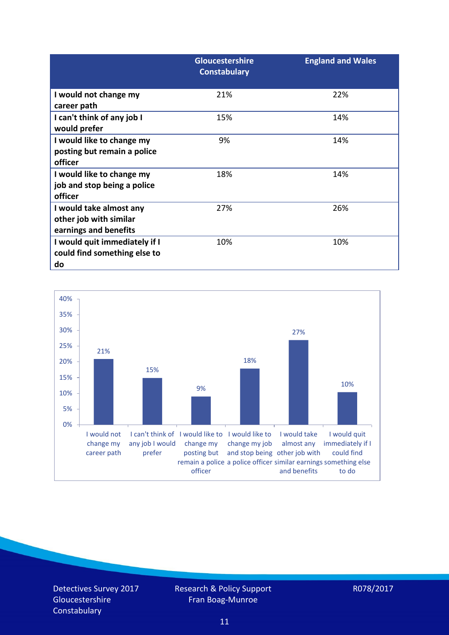|                                                                            | <b>Gloucestershire</b><br><b>Constabulary</b> | <b>England and Wales</b> |
|----------------------------------------------------------------------------|-----------------------------------------------|--------------------------|
| I would not change my<br>career path                                       | 21%                                           | 22%                      |
| I can't think of any job I<br>would prefer                                 | 15%                                           | 14%                      |
| I would like to change my<br>posting but remain a police<br>officer        | 9%                                            | 14%                      |
| I would like to change my<br>job and stop being a police<br>officer        | 18%                                           | 14%                      |
| I would take almost any<br>other job with similar<br>earnings and benefits | 27%                                           | 26%                      |
| I would quit immediately if I<br>could find something else to<br>do        | 10%                                           | 10%                      |